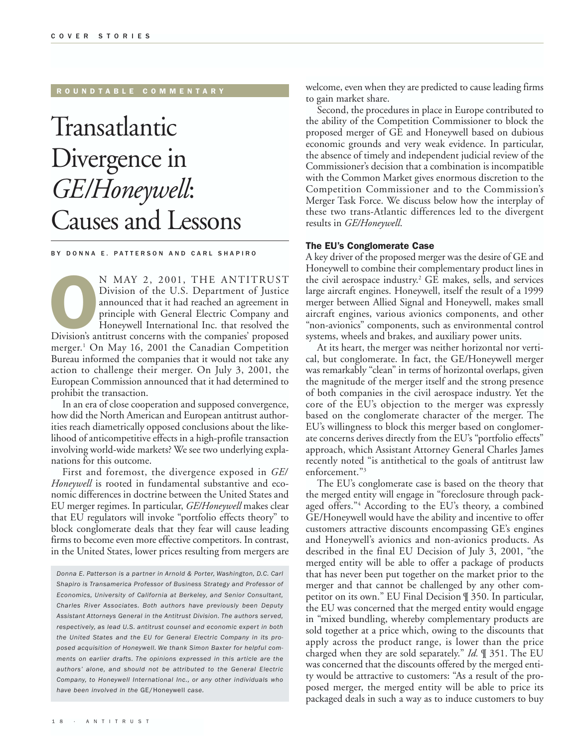#### R OUNDTABLE COMMENTARY

## Transatlantic Divergence in *GE/Honeywell*: Causes and Lessons

BY DONNA E. PATTERSON AND CARL SHAPIRO

N MAY 2, 2001, THE ANTITRUST<br>Division of the U.S. Department of Justice<br>announced that it had reached an agreement in<br>principle with General Electric Company and<br>Honeywell International Inc. that resolved the<br>Division's an Division of the U.S. Department of Justice announced that it had reached an agreement in principle with General Electric Company and Honeywell International Inc. that resolved the merger.<sup>1</sup> On May 16, 2001 the Canadian Competition Bureau informed the companies that it would not take any action to challenge their merger. On July 3, 2001, the European Commission announced that it had determined to prohibit the transaction.

In an era of close cooperation and supposed convergence, how did the North American and European antitrust authorities reach diametrically opposed conclusions about the likelihood of anticompetitive effects in a high-profile transaction involving world-wide markets? We see two underlying explanations for this outcome.

First and foremost, the divergence exposed in *GE/ Honeywell* is rooted in fundamental substantive and economic differences in doctrine between the United States and EU merger regimes. In particular, *GE/Honeywell* makes clear that EU regulators will invoke "portfolio effects theory" to block conglomerate deals that they fear will cause leading firms to become even more effective competitors. In contrast, in the United States, lower prices resulting from mergers are

*Donna E. Patterson is a partner in Arnold & Porter, Washington, D.C. Carl Shapiro is Transamerica Professor of Business Strategy and Professor of Economics, University of California at Berkeley, and Senior Consultant, Charles River Associates. Both authors have previously been Deputy Assistant Attorneys General in the Antitrust Division. The authors served, respectively, as lead U.S. antitrust counsel and economic expert in both the United States and the EU for General Electric Company in its proposed acquisition of Honeywell. We thank Simon Baxter for helpful comments on earlier drafts. The opinions expressed in this article are the authors' alone, and should not be attributed to the General Electric Company, to Honeywell International Inc., or any other individuals who have been involved in the* GE/Honeywell *case.*

welcome, even when they are predicted to cause leading firms to gain market share.

Second, the procedures in place in Europe contributed to the ability of the Competition Commissioner to block the proposed merger of GE and Honeywell based on dubious economic grounds and very weak evidence. In particular, the absence of timely and independent judicial review of the Commissioner's decision that a combination is incompatible with the Common Market gives enormous discretion to the Competition Commissioner and to the Commission's Merger Task Force. We discuss below how the interplay of these two trans-Atlantic differences led to the divergent results in *GE/Honeywell*.

#### The EU's Conglomerate Case

A key driver of the proposed merger was the desire of GE and Honeywell to combine their complementary product lines in the civil aerospace industry.<sup>2</sup> GE makes, sells, and services large aircraft engines. Honeywell, itself the result of a 1999 merger between Allied Signal and Honeywell, makes small aircraft engines, various avionics components, and other "non-avionics" components, such as environmental control systems, wheels and brakes, and auxiliary power units.

At its heart, the merger was neither horizontal nor vertical, but conglomerate. In fact, the GE/Honeywell merger was remarkably "clean" in terms of horizontal overlaps, given the magnitude of the merger itself and the strong presence of both companies in the civil aerospace industry. Yet the core of the EU's objection to the merger was expressly based on the conglomerate character of the merger. The EU's willingness to block this merger based on conglomerate concerns derives directly from the EU's "portfolio effects" approach, which Assistant Attorney General Charles James recently noted "is antithetical to the goals of antitrust law enforcement."3

The EU's conglomerate case is based on the theory that the merged entity will engage in "foreclosure through packaged offers."<sup>4</sup> According to the EU's theory, a combined GE/Honeywell would have the ability and incentive to offer customers attractive discounts encompassing GE's engines and Honeywell's avionics and non-avionics products. As described in the final EU Decision of July 3, 2001, "the merged entity will be able to offer a package of products that has never been put together on the market prior to the merger and that cannot be challenged by any other competitor on its own." EU Final Decision ¶ 350. In particular, the EU was concerned that the merged entity would engage in "mixed bundling, whereby complementary products are sold together at a price which, owing to the discounts that apply across the product range, is lower than the price charged when they are sold separately." *Id.* ¶ 351. The EU was concerned that the discounts offered by the merged entity would be attractive to customers: "As a result of the proposed merger, the merged entity will be able to price its packaged deals in such a way as to induce customers to buy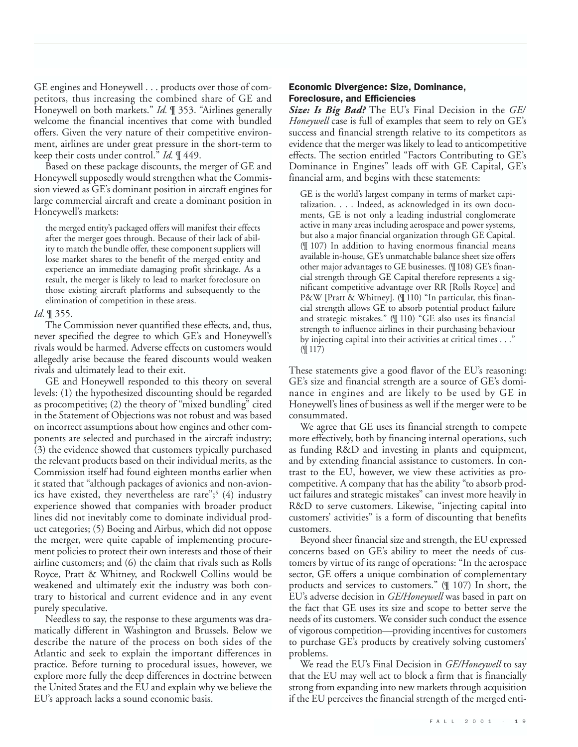GE engines and Honeywell . . . products over those of competitors, thus increasing the combined share of GE and Honeywell on both markets." *Id.* ¶ 353. "Airlines generally welcome the financial incentives that come with bundled offers. Given the very nature of their competitive environment, airlines are under great pressure in the short-term to keep their costs under control." *Id.* ¶ 449.

Based on these package discounts, the merger of GE and Honeywell supposedly would strengthen what the Commission viewed as GE's dominant position in aircraft engines for large commercial aircraft and create a dominant position in Honeywell's markets:

the merged entity's packaged offers will manifest their effects after the merger goes through. Because of their lack of ability to match the bundle offer, these component suppliers will lose market shares to the benefit of the merged entity and experience an immediate damaging profit shrinkage. As a result, the merger is likely to lead to market foreclosure on those existing aircraft platforms and subsequently to the elimination of competition in these areas.

## *Id.* ¶ 355.

The Commission never quantified these effects, and, thus, never specified the degree to which GE's and Honeywell's rivals would be harmed. Adverse effects on customers would allegedly arise because the feared discounts would weaken rivals and ultimately lead to their exit.

GE and Honeywell responded to this theory on several levels: (1) the hypothesized discounting should be regarded as procompetitive; (2) the theory of "mixed bundling" cited in the Statement of Objections was not robust and was based on incorrect assumptions about how engines and other components are selected and purchased in the aircraft industry; (3) the evidence showed that customers typically purchased the relevant products based on their individual merits, as the Commission itself had found eighteen months earlier when it stated that "although packages of avionics and non-avionics have existed, they nevertheless are rare";<sup>5</sup>  $(4)$  industry experience showed that companies with broader product lines did not inevitably come to dominate individual product categories; (5) Boeing and Airbus, which did not oppose the merger, were quite capable of implementing procurement policies to protect their own interests and those of their airline customers; and (6) the claim that rivals such as Rolls Royce, Pratt & Whitney, and Rockwell Collins would be weakened and ultimately exit the industry was both contrary to historical and current evidence and in any event purely speculative.

Needless to say, the response to these arguments was dramatically different in Washington and Brussels. Below we describe the nature of the process on both sides of the Atlantic and seek to explain the important differences in practice. Before turning to procedural issues, however, we explore more fully the deep differences in doctrine between the United States and the EU and explain why we believe the EU's approach lacks a sound economic basis.

## Economic Divergence: Size, Dominance, Foreclosure, and Efficiencies

*Size: Is Big Bad?* The EU's Final Decision in the *GE/ Honeywell* case is full of examples that seem to rely on GE's success and financial strength relative to its competitors as evidence that the merger was likely to lead to anticompetitive effects. The section entitled "Factors Contributing to GE's Dominance in Engines" leads off with GE Capital, GE's financial arm, and begins with these statements:

GE is the world's largest company in terms of market capitalization. . . . Indeed, as acknowledged in its own documents, GE is not only a leading industrial conglomerate active in many areas including aerospace and power systems, but also a major financial organization through GE Capital. (¶ 107) In addition to having enormous financial means available in-house, GE's unmatchable balance sheet size offers other major advantages to GE businesses. (¶108) GE's financial strength through GE Capital therefore represents a significant competitive advantage over RR [Rolls Royce] and P&W [Pratt & Whitney]. (¶ 110) "In particular, this financial strength allows GE to absorb potential product failure and strategic mistakes." (¶ 110) "GE also uses its financial strength to influence airlines in their purchasing behaviour by injecting capital into their activities at critical times . . ." (¶ 117)

These statements give a good flavor of the EU's reasoning: GE's size and financial strength are a source of GE's dominance in engines and are likely to be used by GE in Honeywell's lines of business as well if the merger were to be consummated.

We agree that GE uses its financial strength to compete more effectively, both by financing internal operations, such as funding R&D and investing in plants and equipment, and by extending financial assistance to customers. In contrast to the EU, however, we view these activities as procompetitive. A company that has the ability "to absorb product failures and strategic mistakes" can invest more heavily in R&D to serve customers. Likewise, "injecting capital into customers' activities" is a form of discounting that benefits customers.

Beyond sheer financial size and strength, the EU expressed concerns based on GE's ability to meet the needs of customers by virtue of its range of operations: "In the aerospace sector, GE offers a unique combination of complementary products and services to customers." (¶ 107) In short, the EU's adverse decision in *GE/Honeywell* was based in part on the fact that GE uses its size and scope to better serve the needs of its customers. We consider such conduct the essence of vigorous competition—providing incentives for customers to purchase GE's products by creatively solving customers' problems.

We read the EU's Final Decision in *GE/Honeywell* to say that the EU may well act to block a firm that is financially strong from expanding into new markets through acquisition if the EU perceives the financial strength of the merged enti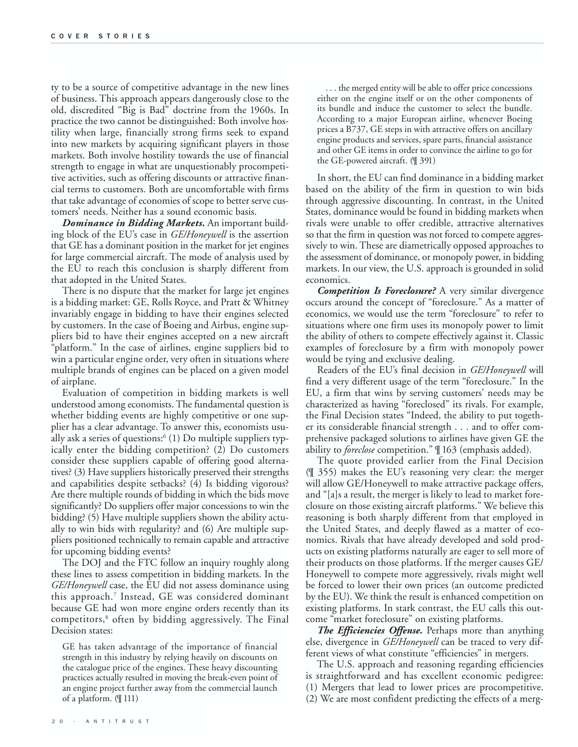ty to be a source of competitive advantage in the new lines of business. This approach appears dangerously close to the old, discredited "Big is Bad" doctrine from the 1960s. In practice the two cannot be distinguished: Both involve hostility when large, financially strong firms seek to expand into new markets by acquiring significant players in those markets. Both involve hostility towards the use of financial strength to engage in what are unquestionably procompetitive activities, such as offering discounts or attractive financial terms to customers. Both are uncomfortable with firms that take advantage of economies of scope to better serve customers' needs. Neither has a sound economic basis.

*Dominance in Bidding Markets.* An important building block of the EU's case in *GE/Honeywell* is the assertion that GE has a dominant position in the market for jet engines for large commercial aircraft. The mode of analysis used by the EU to reach this conclusion is sharply different from that adopted in the United States.

There is no dispute that the market for large jet engines is a bidding market: GE, Rolls Royce, and Pratt & Whitney invariably engage in bidding to have their engines selected by customers. In the case of Boeing and Airbus, engine suppliers bid to have their engines accepted on a new aircraft "platform." In the case of airlines, engine suppliers bid to win a particular engine order, very often in situations where multiple brands of engines can be placed on a given model of airplane.

Evaluation of competition in bidding markets is well understood among economists. The fundamental question is whether bidding events are highly competitive or one supplier has a clear advantage. To answer this, economists usually ask a series of questions: $6$  (1) Do multiple suppliers typically enter the bidding competition? (2) Do customers consider these suppliers capable of offering good alternatives? (3) Have suppliers historically preserved their strengths and capabilities despite setbacks? (4) Is bidding vigorous? Are there multiple rounds of bidding in which the bids move significantly? Do suppliers offer major concessions to win the bidding? (5) Have multiple suppliers shown the ability actually to win bids with regularity? and (6) Are multiple suppliers positioned technically to remain capable and attractive for upcoming bidding events?

The DOJ and the FTC follow an inquiry roughly along these lines to assess competition in bidding markets. In the *GE/Honeywell* case, the EU did not assess dominance using this approach.7 Instead, GE was considered dominant because GE had won more engine orders recently than its competitors,<sup>8</sup> often by bidding aggressively. The Final Decision states:

GE has taken advantage of the importance of financial strength in this industry by relying heavily on discounts on the catalogue price of the engines. These heavy discounting practices actually resulted in moving the break-even point of an engine project further away from the commercial launch of a platform. (¶ 111)

. . . the merged entity will be able to offer price concessions either on the engine itself or on the other components of its bundle and induce the customer to select the bundle. According to a major European airline, whenever Boeing prices a B737, GE steps in with attractive offers on ancillary engine products and services, spare parts, financial assistance and other GE items in order to convince the airline to go for the GE-powered aircraft. (¶ 391)

In short, the EU can find dominance in a bidding market based on the ability of the firm in question to win bids through aggressive discounting. In contrast, in the United States, dominance would be found in bidding markets when rivals were unable to offer credible, attractive alternatives so that the firm in question was not forced to compete aggressively to win. These are diametrically opposed approaches to the assessment of dominance, or monopoly power, in bidding markets. In our view, the U.S. approach is grounded in solid economics.

*Competition Is Foreclosure?* A very similar divergence occurs around the concept of "foreclosure." As a matter of economics, we would use the term "foreclosure" to refer to situations where one firm uses its monopoly power to limit the ability of others to compete effectively against it. Classic examples of foreclosure by a firm with monopoly power would be tying and exclusive dealing.

Readers of the EU's final decision in *GE/Honeywell* will find a very different usage of the term "foreclosure." In the EU, a firm that wins by serving customers' needs may be characterized as having "foreclosed" its rivals. For example, the Final Decision states "Indeed, the ability to put together its considerable financial strength . . . and to offer comprehensive packaged solutions to airlines have given GE the ability to *foreclose* competition." ¶ 163 (emphasis added).

The quote provided earlier from the Final Decision (¶ 355) makes the EU's reasoning very clear: the merger will allow GE/Honeywell to make attractive package offers, and "[a]s a result, the merger is likely to lead to market foreclosure on those existing aircraft platforms." We believe this reasoning is both sharply different from that employed in the United States, and deeply flawed as a matter of economics. Rivals that have already developed and sold products on existing platforms naturally are eager to sell more of their products on those platforms. If the merger causes GE/ Honeywell to compete more aggressively, rivals might well be forced to lower their own prices (an outcome predicted by the EU). We think the result is enhanced competition on existing platforms. In stark contrast, the EU calls this outcome "market foreclosure" on existing platforms.

*The Efficiencies Offense.* Perhaps more than anything else, divergence in *GE/Honeywell* can be traced to very different views of what constitute "efficiencies" in mergers.

The U.S. approach and reasoning regarding efficiencies is straightforward and has excellent economic pedigree: (1) Mergers that lead to lower prices are procompetitive.

(2) We are most confident predicting the effects of a merg-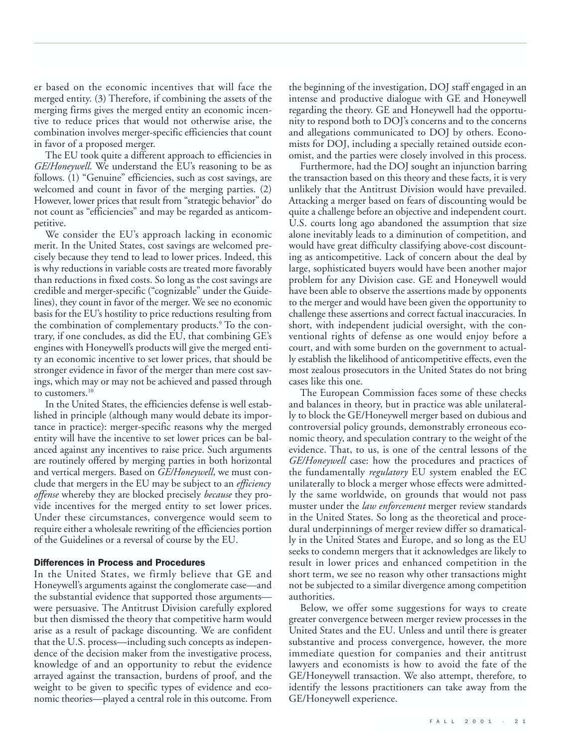er based on the economic incentives that will face the merged entity. (3) Therefore, if combining the assets of the merging firms gives the merged entity an economic incentive to reduce prices that would not otherwise arise, the combination involves merger-specific efficiencies that count in favor of a proposed merger.

The EU took quite a different approach to efficiencies in *GE/Honeywell*. We understand the EU's reasoning to be as follows. (1) "Genuine" efficiencies, such as cost savings, are welcomed and count in favor of the merging parties. (2) However, lower prices that result from "strategic behavior" do not count as "efficiencies" and may be regarded as anticompetitive.

We consider the EU's approach lacking in economic merit. In the United States, cost savings are welcomed precisely because they tend to lead to lower prices. Indeed, this is why reductions in variable costs are treated more favorably than reductions in fixed costs. So long as the cost savings are credible and merger-specific ("cognizable" under the Guidelines), they count in favor of the merger. We see no economic basis for the EU's hostility to price reductions resulting from the combination of complementary products.<sup>9</sup> To the contrary, if one concludes, as did the EU, that combining GE's engines with Honeywell's products will give the merged entity an economic incentive to set lower prices, that should be stronger evidence in favor of the merger than mere cost savings, which may or may not be achieved and passed through to customers.10

In the United States, the efficiencies defense is well established in principle (although many would debate its importance in practice): merger-specific reasons why the merged entity will have the incentive to set lower prices can be balanced against any incentives to raise price. Such arguments are routinely offered by merging parties in both horizontal and vertical mergers. Based on *GE/Honeywell*, we must conclude that mergers in the EU may be subject to an *efficiency offense* whereby they are blocked precisely *because* they provide incentives for the merged entity to set lower prices. Under these circumstances, convergence would seem to require either a wholesale rewriting of the efficiencies portion of the Guidelines or a reversal of course by the EU.

## Differences in Process and Procedures

In the United States, we firmly believe that GE and Honeywell's arguments against the conglomerate case—and the substantial evidence that supported those arguments were persuasive. The Antitrust Division carefully explored but then dismissed the theory that competitive harm would arise as a result of package discounting. We are confident that the U.S. process—including such concepts as independence of the decision maker from the investigative process, knowledge of and an opportunity to rebut the evidence arrayed against the transaction, burdens of proof, and the weight to be given to specific types of evidence and economic theories—played a central role in this outcome. From

the beginning of the investigation, DOJ staff engaged in an intense and productive dialogue with GE and Honeywell regarding the theory. GE and Honeywell had the opportunity to respond both to DOJ's concerns and to the concerns and allegations communicated to DOJ by others. Economists for DOJ, including a specially retained outside economist, and the parties were closely involved in this process.

Furthermore, had the DOJ sought an injunction barring the transaction based on this theory and these facts, it is very unlikely that the Antitrust Division would have prevailed. Attacking a merger based on fears of discounting would be quite a challenge before an objective and independent court. U.S. courts long ago abandoned the assumption that size alone inevitably leads to a diminution of competition, and would have great difficulty classifying above-cost discounting as anticompetitive. Lack of concern about the deal by large, sophisticated buyers would have been another major problem for any Division case. GE and Honeywell would have been able to observe the assertions made by opponents to the merger and would have been given the opportunity to challenge these assertions and correct factual inaccuracies. In short, with independent judicial oversight, with the conventional rights of defense as one would enjoy before a court, and with some burden on the government to actually establish the likelihood of anticompetitive effects, even the most zealous prosecutors in the United States do not bring cases like this one.

The European Commission faces some of these checks and balances in theory, but in practice was able unilaterally to block the GE/Honeywell merger based on dubious and controversial policy grounds, demonstrably erroneous economic theory, and speculation contrary to the weight of the evidence. That, to us, is one of the central lessons of the *GE/Honeywell* case: how the procedures and practices of the fundamentally *regulatory* EU system enabled the EC unilaterally to block a merger whose effects were admittedly the same worldwide, on grounds that would not pass muster under the *law enforcement* merger review standards in the United States. So long as the theoretical and procedural underpinnings of merger review differ so dramatically in the United States and Europe, and so long as the EU seeks to condemn mergers that it acknowledges are likely to result in lower prices and enhanced competition in the short term, we see no reason why other transactions might not be subjected to a similar divergence among competition authorities.

Below, we offer some suggestions for ways to create greater convergence between merger review processes in the United States and the EU. Unless and until there is greater substantive and process convergence, however, the more immediate question for companies and their antitrust lawyers and economists is how to avoid the fate of the GE/Honeywell transaction. We also attempt, therefore, to identify the lessons practitioners can take away from the GE/Honeywell experience.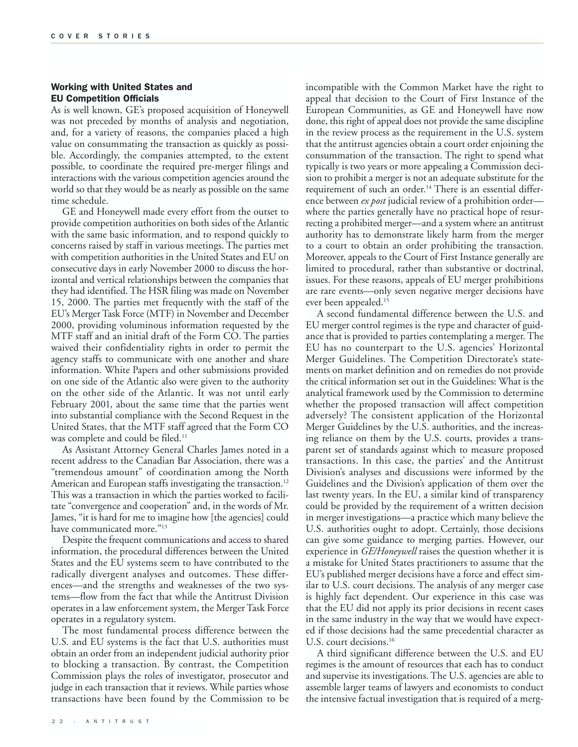## Working with United States and EU Competition Officials

As is well known, GE's proposed acquisition of Honeywell was not preceded by months of analysis and negotiation, and, for a variety of reasons, the companies placed a high value on consummating the transaction as quickly as possible. Accordingly, the companies attempted, to the extent possible, to coordinate the required pre-merger filings and interactions with the various competition agencies around the world so that they would be as nearly as possible on the same time schedule.

GE and Honeywell made every effort from the outset to provide competition authorities on both sides of the Atlantic with the same basic information, and to respond quickly to concerns raised by staff in various meetings. The parties met with competition authorities in the United States and EU on consecutive days in early November 2000 to discuss the horizontal and vertical relationships between the companies that they had identified. The HSR filing was made on November 15, 2000. The parties met frequently with the staff of the EU's Merger Task Force (MTF) in November and December 2000, providing voluminous information requested by the MTF staff and an initial draft of the Form CO. The parties waived their confidentiality rights in order to permit the agency staffs to communicate with one another and share information. White Papers and other submissions provided on one side of the Atlantic also were given to the authority on the other side of the Atlantic. It was not until early February 2001, about the same time that the parties went into substantial compliance with the Second Request in the United States, that the MTF staff agreed that the Form CO was complete and could be filed.<sup>11</sup>

As Assistant Attorney General Charles James noted in a recent address to the Canadian Bar Association, there was a "tremendous amount" of coordination among the North American and European staffs investigating the transaction.<sup>12</sup> This was a transaction in which the parties worked to facilitate "convergence and cooperation" and, in the words of Mr. James, "it is hard for me to imagine how [the agencies] could have communicated more."<sup>13</sup>

Despite the frequent communications and access to shared information, the procedural differences between the United States and the EU systems seem to have contributed to the radically divergent analyses and outcomes. These differences—and the strengths and weaknesses of the two systems—flow from the fact that while the Antitrust Division operates in a law enforcement system, the Merger Task Force operates in a regulatory system.

The most fundamental process difference between the U.S. and EU systems is the fact that U.S. authorities must obtain an order from an independent judicial authority prior to blocking a transaction. By contrast, the Competition Commission plays the roles of investigator, prosecutor and judge in each transaction that it reviews. While parties whose transactions have been found by the Commission to be incompatible with the Common Market have the right to appeal that decision to the Court of First Instance of the European Communities, as GE and Honeywell have now done, this right of appeal does not provide the same discipline in the review process as the requirement in the U.S. system that the antitrust agencies obtain a court order enjoining the consummation of the transaction. The right to spend what typically is two years or more appealing a Commission decision to prohibit a merger is not an adequate substitute for the requirement of such an order.<sup>14</sup> There is an essential difference between *ex post* judicial review of a prohibition order where the parties generally have no practical hope of resurrecting a prohibited merger—and a system where an antitrust authority has to demonstrate likely harm from the merger to a court to obtain an order prohibiting the transaction. Moreover, appeals to the Court of First Instance generally are limited to procedural, rather than substantive or doctrinal, issues. For these reasons, appeals of EU merger prohibitions are rare events—only seven negative merger decisions have ever been appealed.<sup>15</sup>

A second fundamental difference between the U.S. and EU merger control regimes is the type and character of guidance that is provided to parties contemplating a merger. The EU has no counterpart to the U.S. agencies' Horizontal Merger Guidelines. The Competition Directorate's statements on market definition and on remedies do not provide the critical information set out in the Guidelines: What is the analytical framework used by the Commission to determine whether the proposed transaction will affect competition adversely? The consistent application of the Horizontal Merger Guidelines by the U.S. authorities, and the increasing reliance on them by the U.S. courts, provides a transparent set of standards against which to measure proposed transactions. In this case, the parties' and the Antitrust Division's analyses and discussions were informed by the Guidelines and the Division's application of them over the last twenty years. In the EU, a similar kind of transparency could be provided by the requirement of a written decision in merger investigations—a practice which many believe the U.S. authorities ought to adopt. Certainly, those decisions can give some guidance to merging parties. However, our experience in *GE/Honeywell* raises the question whether it is a mistake for United States practitioners to assume that the EU's published merger decisions have a force and effect similar to U.S. court decisions. The analysis of any merger case is highly fact dependent. Our experience in this case was that the EU did not apply its prior decisions in recent cases in the same industry in the way that we would have expected if those decisions had the same precedential character as U.S. court decisions.<sup>16</sup>

A third significant difference between the U.S. and EU regimes is the amount of resources that each has to conduct and supervise its investigations. The U.S. agencies are able to assemble larger teams of lawyers and economists to conduct the intensive factual investigation that is required of a merg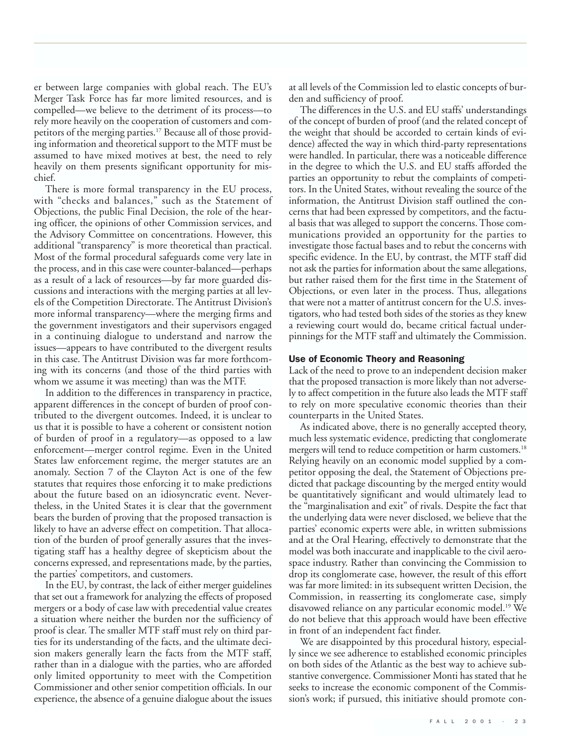er between large companies with global reach. The EU's Merger Task Force has far more limited resources, and is compelled—we believe to the detriment of its process—to rely more heavily on the cooperation of customers and competitors of the merging parties.<sup>17</sup> Because all of those providing information and theoretical support to the MTF must be assumed to have mixed motives at best, the need to rely heavily on them presents significant opportunity for mischief.

There is more formal transparency in the EU process, with "checks and balances," such as the Statement of Objections, the public Final Decision, the role of the hearing officer, the opinions of other Commission services, and the Advisory Committee on concentrations. However, this additional "transparency" is more theoretical than practical. Most of the formal procedural safeguards come very late in the process, and in this case were counter-balanced—perhaps as a result of a lack of resources—by far more guarded discussions and interactions with the merging parties at all levels of the Competition Directorate. The Antitrust Division's more informal transparency—where the merging firms and the government investigators and their supervisors engaged in a continuing dialogue to understand and narrow the issues—appears to have contributed to the divergent results in this case. The Antitrust Division was far more forthcoming with its concerns (and those of the third parties with whom we assume it was meeting) than was the MTF.

In addition to the differences in transparency in practice, apparent differences in the concept of burden of proof contributed to the divergent outcomes. Indeed, it is unclear to us that it is possible to have a coherent or consistent notion of burden of proof in a regulatory—as opposed to a law enforcement—merger control regime. Even in the United States law enforcement regime, the merger statutes are an anomaly. Section 7 of the Clayton Act is one of the few statutes that requires those enforcing it to make predictions about the future based on an idiosyncratic event. Nevertheless, in the United States it is clear that the government bears the burden of proving that the proposed transaction is likely to have an adverse effect on competition. That allocation of the burden of proof generally assures that the investigating staff has a healthy degree of skepticism about the concerns expressed, and representations made, by the parties, the parties' competitors, and customers.

In the EU, by contrast, the lack of either merger guidelines that set out a framework for analyzing the effects of proposed mergers or a body of case law with precedential value creates a situation where neither the burden nor the sufficiency of proof is clear. The smaller MTF staff must rely on third parties for its understanding of the facts, and the ultimate decision makers generally learn the facts from the MTF staff, rather than in a dialogue with the parties, who are afforded only limited opportunity to meet with the Competition Commissioner and other senior competition officials. In our experience, the absence of a genuine dialogue about the issues

at all levels of the Commission led to elastic concepts of burden and sufficiency of proof.

The differences in the U.S. and EU staffs' understandings of the concept of burden of proof (and the related concept of the weight that should be accorded to certain kinds of evidence) affected the way in which third-party representations were handled. In particular, there was a noticeable difference in the degree to which the U.S. and EU staffs afforded the parties an opportunity to rebut the complaints of competitors. In the United States, without revealing the source of the information, the Antitrust Division staff outlined the concerns that had been expressed by competitors, and the factual basis that was alleged to support the concerns. Those communications provided an opportunity for the parties to investigate those factual bases and to rebut the concerns with specific evidence. In the EU, by contrast, the MTF staff did not ask the parties for information about the same allegations, but rather raised them for the first time in the Statement of Objections, or even later in the process. Thus, allegations that were not a matter of antitrust concern for the U.S. investigators, who had tested both sides of the stories as they knew a reviewing court would do, became critical factual underpinnings for the MTF staff and ultimately the Commission.

### Use of Economic Theory and Reasoning

Lack of the need to prove to an independent decision maker that the proposed transaction is more likely than not adversely to affect competition in the future also leads the MTF staff to rely on more speculative economic theories than their counterparts in the United States.

As indicated above, there is no generally accepted theory, much less systematic evidence, predicting that conglomerate mergers will tend to reduce competition or harm customers.<sup>18</sup> Relying heavily on an economic model supplied by a competitor opposing the deal, the Statement of Objections predicted that package discounting by the merged entity would be quantitatively significant and would ultimately lead to the "marginalisation and exit" of rivals. Despite the fact that the underlying data were never disclosed, we believe that the parties' economic experts were able, in written submissions and at the Oral Hearing, effectively to demonstrate that the model was both inaccurate and inapplicable to the civil aerospace industry. Rather than convincing the Commission to drop its conglomerate case, however, the result of this effort was far more limited: in its subsequent written Decision, the Commission, in reasserting its conglomerate case, simply disavowed reliance on any particular economic model.19 We do not believe that this approach would have been effective in front of an independent fact finder.

We are disappointed by this procedural history, especially since we see adherence to established economic principles on both sides of the Atlantic as the best way to achieve substantive convergence. Commissioner Monti has stated that he seeks to increase the economic component of the Commission's work; if pursued, this initiative should promote con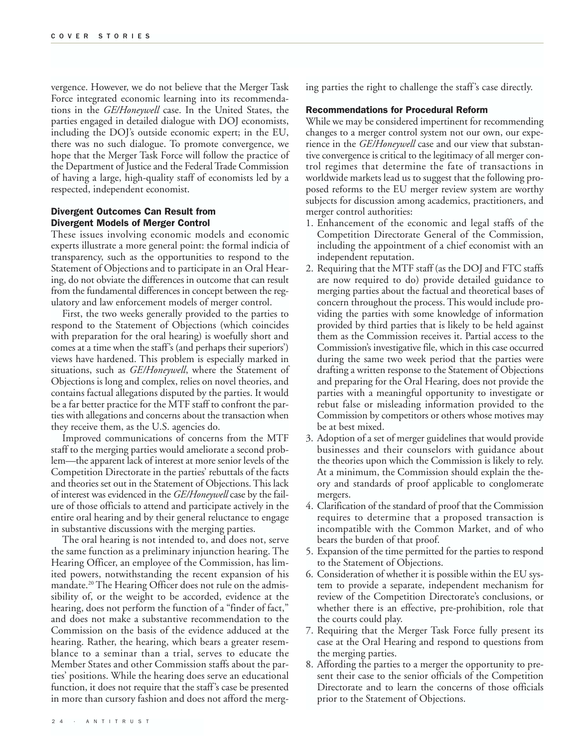vergence. However, we do not believe that the Merger Task Force integrated economic learning into its recommendations in the *GE/Honeywell* case. In the United States, the parties engaged in detailed dialogue with DOJ economists, including the DOJ's outside economic expert; in the EU, there was no such dialogue. To promote convergence, we hope that the Merger Task Force will follow the practice of the Department of Justice and the Federal Trade Commission of having a large, high-quality staff of economists led by a respected, independent economist.

## Divergent Outcomes Can Result from Divergent Models of Merger Control

These issues involving economic models and economic experts illustrate a more general point: the formal indicia of transparency, such as the opportunities to respond to the Statement of Objections and to participate in an Oral Hearing, do not obviate the differences in outcome that can result from the fundamental differences in concept between the regulatory and law enforcement models of merger control.

First, the two weeks generally provided to the parties to respond to the Statement of Objections (which coincides with preparation for the oral hearing) is woefully short and comes at a time when the staff's (and perhaps their superiors') views have hardened. This problem is especially marked in situations, such as *GE/Honeywell*, where the Statement of Objections is long and complex, relies on novel theories, and contains factual allegations disputed by the parties. It would be a far better practice for the MTF staff to confront the parties with allegations and concerns about the transaction when they receive them, as the U.S. agencies do.

Improved communications of concerns from the MTF staff to the merging parties would ameliorate a second problem—the apparent lack of interest at more senior levels of the Competition Directorate in the parties' rebuttals of the facts and theories set out in the Statement of Objections. This lack of interest was evidenced in the *GE/Honeywell* case by the failure of those officials to attend and participate actively in the entire oral hearing and by their general reluctance to engage in substantive discussions with the merging parties.

The oral hearing is not intended to, and does not, serve the same function as a preliminary injunction hearing. The Hearing Officer, an employee of the Commission, has limited powers, notwithstanding the recent expansion of his mandate.20 The Hearing Officer does not rule on the admissibility of, or the weight to be accorded, evidence at the hearing, does not perform the function of a "finder of fact," and does not make a substantive recommendation to the Commission on the basis of the evidence adduced at the hearing. Rather, the hearing, which bears a greater resemblance to a seminar than a trial, serves to educate the Member States and other Commission staffs about the parties' positions. While the hearing does serve an educational function, it does not require that the staff's case be presented in more than cursory fashion and does not afford the merging parties the right to challenge the staff's case directly.

## Recommendations for Procedural Reform

While we may be considered impertinent for recommending changes to a merger control system not our own, our experience in the *GE/Honeywell* case and our view that substantive convergence is critical to the legitimacy of all merger control regimes that determine the fate of transactions in worldwide markets lead us to suggest that the following proposed reforms to the EU merger review system are worthy subjects for discussion among academics, practitioners, and merger control authorities:

- 1. Enhancement of the economic and legal staffs of the Competition Directorate General of the Commission, including the appointment of a chief economist with an independent reputation.
- 2. Requiring that the MTF staff (as the DOJ and FTC staffs are now required to do) provide detailed guidance to merging parties about the factual and theoretical bases of concern throughout the process. This would include providing the parties with some knowledge of information provided by third parties that is likely to be held against them as the Commission receives it. Partial access to the Commission's investigative file, which in this case occurred during the same two week period that the parties were drafting a written response to the Statement of Objections and preparing for the Oral Hearing, does not provide the parties with a meaningful opportunity to investigate or rebut false or misleading information provided to the Commission by competitors or others whose motives may be at best mixed.
- 3. Adoption of a set of merger guidelines that would provide businesses and their counselors with guidance about the theories upon which the Commission is likely to rely. At a minimum, the Commission should explain the theory and standards of proof applicable to conglomerate mergers.
- 4. Clarification of the standard of proof that the Commission requires to determine that a proposed transaction is incompatible with the Common Market, and of who bears the burden of that proof.
- 5. Expansion of the time permitted for the parties to respond to the Statement of Objections.
- 6. Consideration of whether it is possible within the EU system to provide a separate, independent mechanism for review of the Competition Directorate's conclusions, or whether there is an effective, pre-prohibition, role that the courts could play.
- 7. Requiring that the Merger Task Force fully present its case at the Oral Hearing and respond to questions from the merging parties.
- 8. Affording the parties to a merger the opportunity to present their case to the senior officials of the Competition Directorate and to learn the concerns of those officials prior to the Statement of Objections.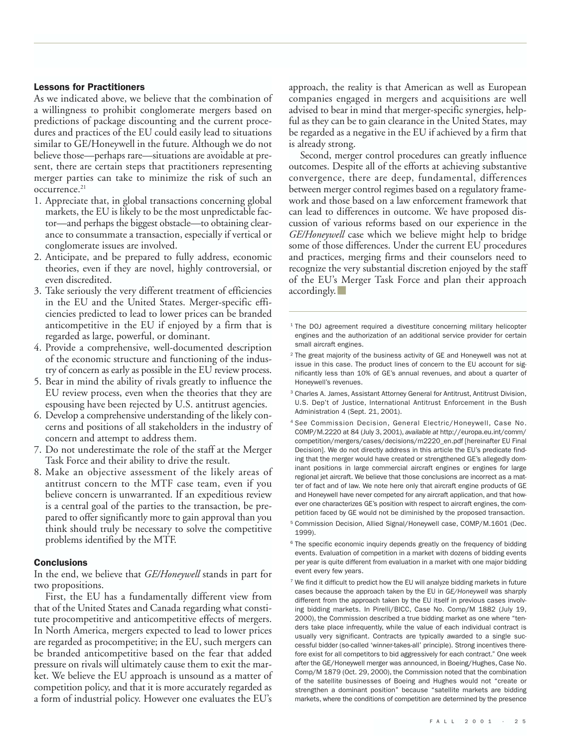## Lessons for Practitioners

As we indicated above, we believe that the combination of a willingness to prohibit conglomerate mergers based on predictions of package discounting and the current procedures and practices of the EU could easily lead to situations similar to GE/Honeywell in the future. Although we do not believe those—perhaps rare—situations are avoidable at present, there are certain steps that practitioners representing merger parties can take to minimize the risk of such an occurrence.<sup>21</sup>

- 1. Appreciate that, in global transactions concerning global markets, the EU is likely to be the most unpredictable factor—and perhaps the biggest obstacle—to obtaining clearance to consummate a transaction, especially if vertical or conglomerate issues are involved.
- 2. Anticipate, and be prepared to fully address, economic theories, even if they are novel, highly controversial, or even discredited.
- 3. Take seriously the very different treatment of efficiencies in the EU and the United States. Merger-specific efficiencies predicted to lead to lower prices can be branded anticompetitive in the EU if enjoyed by a firm that is regarded as large, powerful, or dominant.
- 4. Provide a comprehensive, well-documented description of the economic structure and functioning of the industry of concern as early as possible in the EU review process.
- 5. Bear in mind the ability of rivals greatly to influence the EU review process, even when the theories that they are espousing have been rejected by U.S. antitrust agencies.
- 6. Develop a comprehensive understanding of the likely concerns and positions of all stakeholders in the industry of concern and attempt to address them.
- 7. Do not underestimate the role of the staff at the Merger Task Force and their ability to drive the result.
- 8. Make an objective assessment of the likely areas of antitrust concern to the MTF case team, even if you believe concern is unwarranted. If an expeditious review is a central goal of the parties to the transaction, be prepared to offer significantly more to gain approval than you think should truly be necessary to solve the competitive problems identified by the MTF.

#### **Conclusions**

In the end, we believe that *GE/Honeywell* stands in part for two propositions.

First, the EU has a fundamentally different view from that of the United States and Canada regarding what constitute procompetitive and anticompetitive effects of mergers. In North America, mergers expected to lead to lower prices are regarded as procompetitive; in the EU, such mergers can be branded anticompetitive based on the fear that added pressure on rivals will ultimately cause them to exit the market. We believe the EU approach is unsound as a matter of competition policy, and that it is more accurately regarded as a form of industrial policy. However one evaluates the EU's approach, the reality is that American as well as European companies engaged in mergers and acquisitions are well advised to bear in mind that merger-specific synergies, helpful as they can be to gain clearance in the United States, may be regarded as a negative in the EU if achieved by a firm that is already strong.

Second, merger control procedures can greatly influence outcomes. Despite all of the efforts at achieving substantive convergence, there are deep, fundamental, differences between merger control regimes based on a regulatory framework and those based on a law enforcement framework that can lead to differences in outcome. We have proposed discussion of various reforms based on our experience in the *GE/Honeywell* case which we believe might help to bridge some of those differences. Under the current EU procedures and practices, merging firms and their counselors need to recognize the very substantial discretion enjoyed by the staff of the EU's Merger Task Force and plan their approach accordingly.

- $2$  The great majority of the business activity of GE and Honeywell was not at issue in this case. The product lines of concern to the EU account for significantly less than 10% of GE's annual revenues, and about a quarter of Honeywell's revenues.
- <sup>3</sup> Charles A. James, Assistant Attorney General for Antitrust, Antitrust Division, U.S. Dep't of Justice, International Antitrust Enforcement in the Bush Administration 4 (Sept. 21, 2001).
- <sup>4</sup> *See* Commission Decision, General Electric/Honeywell, Case No. COMP/M.2220 at 84 (July 3, 2001), *available at* http://europa.eu.int/comm/ competition/mergers/cases/decisions/m2220\_en.pdf [hereinafter EU Final Decision]. We do not directly address in this article the EU's predicate finding that the merger would have created or strengthened GE's allegedly dominant positions in large commercial aircraft engines or engines for large regional jet aircraft. We believe that those conclusions are incorrect as a matter of fact and of law. We note here only that aircraft engine products of GE and Honeywell have never competed for any aircraft application, and that however one characterizes GE's position with respect to aircraft engines, the competition faced by GE would not be diminished by the proposed transaction.
- <sup>5</sup> Commission Decision, Allied Signal/Honeywell case, COMP/M.1601 (Dec. 1999).
- <sup>6</sup> The specific economic inquiry depends greatly on the frequency of bidding events. Evaluation of competition in a market with dozens of bidding events per year is quite different from evaluation in a market with one major bidding event every few years.
- <sup>7</sup> We find it difficult to predict how the EU will analyze bidding markets in future cases because the approach taken by the EU in *GE/Honeywell* was sharply different from the approach taken by the EU itself in previous cases involving bidding markets. In Pirelli/BICC, Case No. Comp/M 1882 (July 19, 2000), the Commission described a true bidding market as one where "tenders take place infrequently, while the value of each individual contract is usually very significant. Contracts are typically awarded to a single successful bidder (so-called 'winner-takes-all' principle). Strong incentives therefore exist for all competitors to bid aggressively for each contract." One week after the GE/Honeywell merger was announced, in Boeing/Hughes, Case No. Comp/M 1879 (Oct. 29, 2000), the Commission noted that the combination of the satellite businesses of Boeing and Hughes would not "create or strengthen a dominant position" because "satellite markets are bidding markets, where the conditions of competition are determined by the presence

<sup>&</sup>lt;sup>1</sup> The DOJ agreement required a divestiture concerning military helicopter engines and the authorization of an additional service provider for certain small aircraft engines.